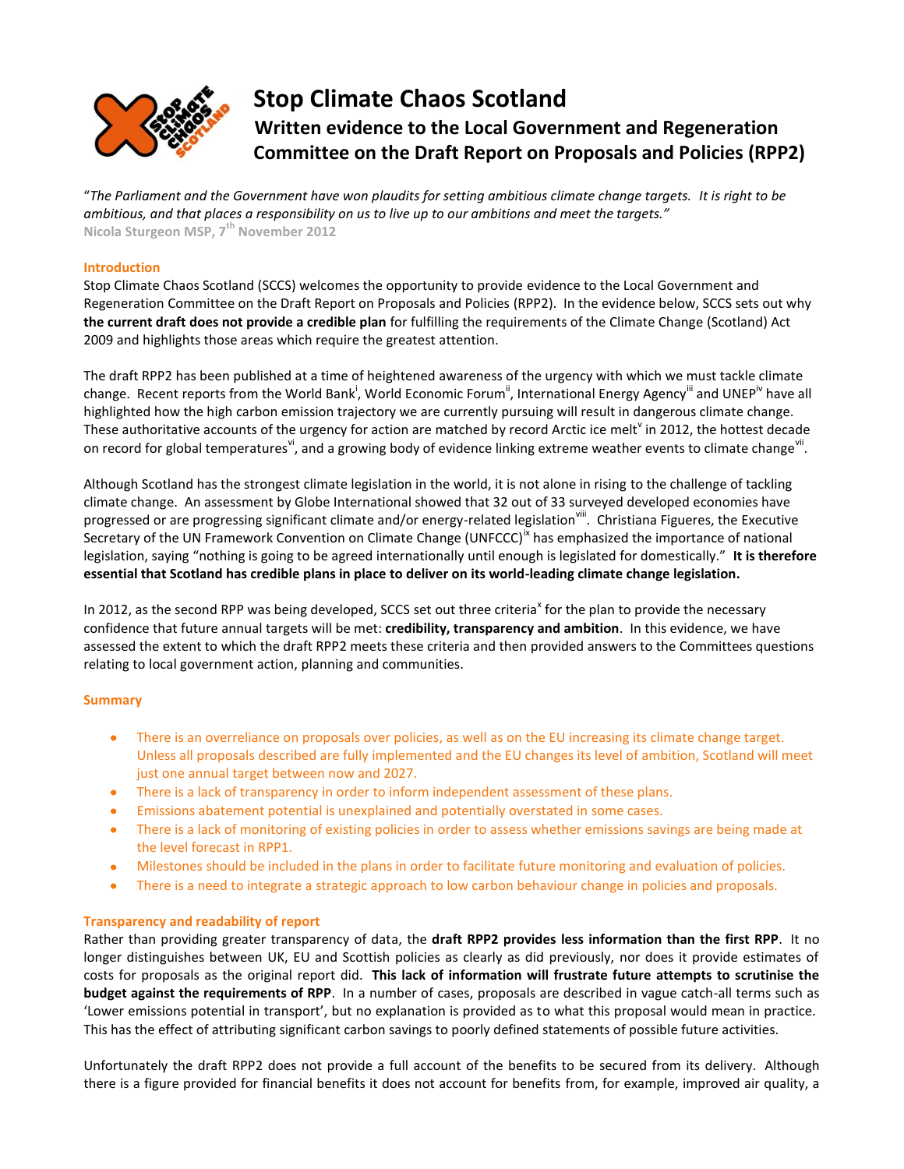

# **Stop Climate Chaos Scotland Written evidence to the Local Government and Regeneration Committee on the Draft Report on Proposals and Policies (RPP2)**

"*The Parliament and the Government have won plaudits for setting ambitious climate change targets. It is right to be ambitious, and that places a responsibility on us to live up to our ambitions and meet the targets."* **Nicola Sturgeon MSP, 7th November 2012**

## **Introduction**

Stop Climate Chaos Scotland (SCCS) welcomes the opportunity to provide evidence to the Local Government and Regeneration Committee on the Draft Report on Proposals and Policies (RPP2). In the evidence below, SCCS sets out why **the current draft does not provide a credible plan** for fulfilling the requirements of the Climate Change (Scotland) Act 2009 and highlights those areas which require the greatest attention.

The draft RPP2 has been published at a time of heightened awareness of the urgency with which we must tackle climate change. Recent reports from the World Bank<sup>i</sup>, World Economic Forum<sup>"</sup>, International Energy Agency<sup>'"</sup> and UNEP<sup>iv</sup> have all highlighted how the high carbon emission trajectory we are currently pursuing will result in dangerous climate change. These authoritative accounts of the urgency for action are matched by record Arctic ice melt<sup>v</sup> in 2012, the hottest decade on record for global temperatures<sup>vi</sup>, and a growing body of evidence linking extreme weather events to climate change<sup>vii</sup>.

Although Scotland has the strongest climate legislation in the world, it is not alone in rising to the challenge of tackling climate change. An assessment by Globe International showed that 32 out of 33 surveyed developed economies have progressed or are progressing significant climate and/or energy-related legislation<sup>viii</sup>. Christiana Figueres, the Executive Secretary of the UN Framework Convention on Climate Change (UNFCCC)<sup>"</sup> has emphasized the importance of national legislation, saying "nothing is going to be agreed internationally until enough is legislated for domestically." **It is therefore essential that Scotland has credible plans in place to deliver on its world-leading climate change legislation.**

In 2012, as the second RPP was being developed, SCCS set out three criteria<sup>x</sup> for the plan to provide the necessary confidence that future annual targets will be met: **credibility, transparency and ambition**. In this evidence, we have assessed the extent to which the draft RPP2 meets these criteria and then provided answers to the Committees questions relating to local government action, planning and communities.

## **Summary**

- There is an overreliance on proposals over policies, as well as on the EU increasing its climate change target.  $\bullet$ Unless all proposals described are fully implemented and the EU changes its level of ambition, Scotland will meet just one annual target between now and 2027.
- There is a lack of transparency in order to inform independent assessment of these plans.
- Emissions abatement potential is unexplained and potentially overstated in some cases.  $\bullet$  .
- $\bullet$ There is a lack of monitoring of existing policies in order to assess whether emissions savings are being made at the level forecast in RPP1.
- $\bullet$ Milestones should be included in the plans in order to facilitate future monitoring and evaluation of policies.
- $\bullet$ There is a need to integrate a strategic approach to low carbon behaviour change in policies and proposals.

## **Transparency and readability of report**

Rather than providing greater transparency of data, the **draft RPP2 provides less information than the first RPP**. It no longer distinguishes between UK, EU and Scottish policies as clearly as did previously, nor does it provide estimates of costs for proposals as the original report did. **This lack of information will frustrate future attempts to scrutinise the budget against the requirements of RPP**. In a number of cases, proposals are described in vague catch-all terms such as 'Lower emissions potential in transport', but no explanation is provided as to what this proposal would mean in practice. This has the effect of attributing significant carbon savings to poorly defined statements of possible future activities.

Unfortunately the draft RPP2 does not provide a full account of the benefits to be secured from its delivery. Although there is a figure provided for financial benefits it does not account for benefits from, for example, improved air quality, a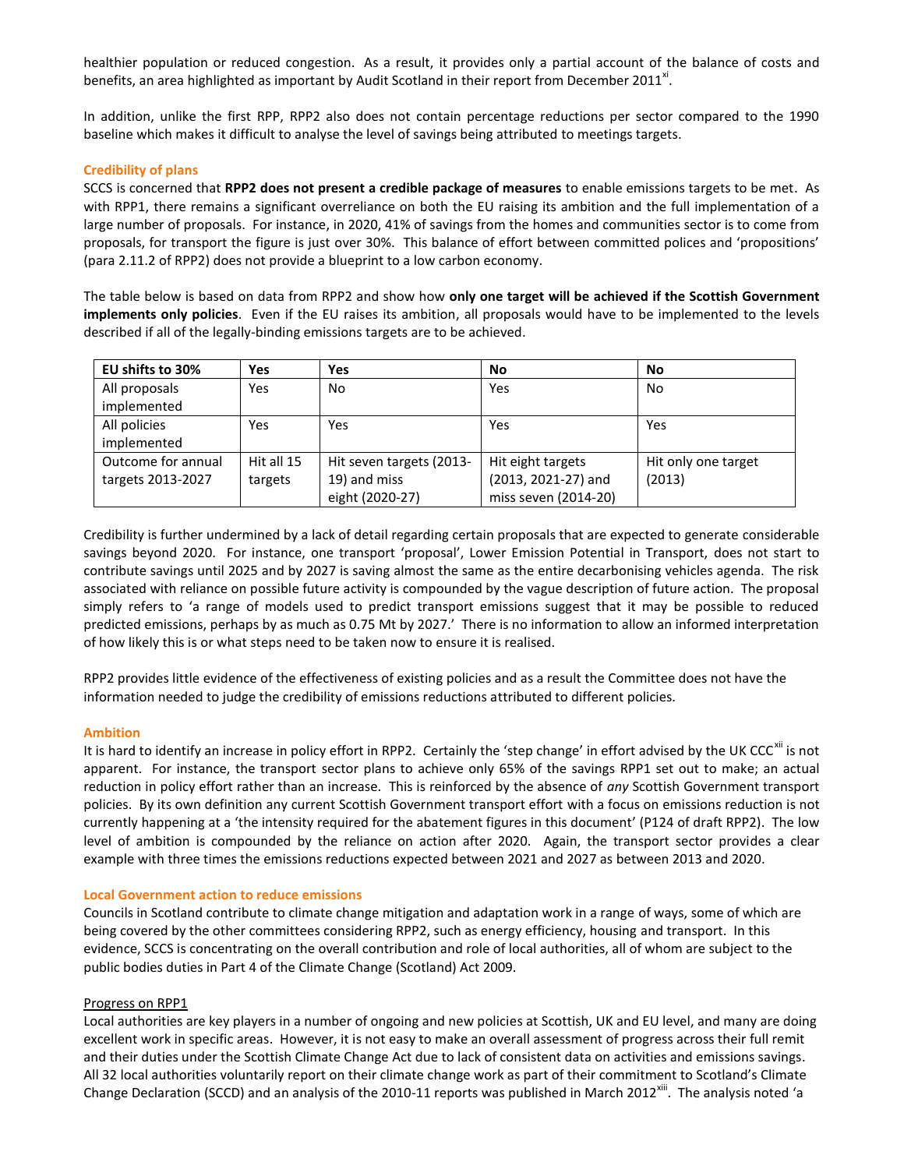healthier population or reduced congestion. As a result, it provides only a partial account of the balance of costs and benefits, an area highlighted as important by Audit Scotland in their report from December 2011<sup>xi</sup>.

In addition, unlike the first RPP, RPP2 also does not contain percentage reductions per sector compared to the 1990 baseline which makes it difficult to analyse the level of savings being attributed to meetings targets.

## **Credibility of plans**

SCCS is concerned that **RPP2 does not present a credible package of measures** to enable emissions targets to be met. As with RPP1, there remains a significant overreliance on both the EU raising its ambition and the full implementation of a large number of proposals. For instance, in 2020, 41% of savings from the homes and communities sector is to come from proposals, for transport the figure is just over 30%. This balance of effort between committed polices and 'propositions' (para 2.11.2 of RPP2) does not provide a blueprint to a low carbon economy.

The table below is based on data from RPP2 and show how **only one target will be achieved if the Scottish Government implements only policies**. Even if the EU raises its ambition, all proposals would have to be implemented to the levels described if all of the legally-binding emissions targets are to be achieved.

| EU shifts to 30%   | Yes        | Yes                      | No                   | No                  |
|--------------------|------------|--------------------------|----------------------|---------------------|
| All proposals      | Yes        | No                       | Yes                  | No.                 |
| implemented        |            |                          |                      |                     |
| All policies       | Yes        | Yes                      | Yes                  | Yes                 |
| implemented        |            |                          |                      |                     |
| Outcome for annual | Hit all 15 | Hit seven targets (2013- | Hit eight targets    | Hit only one target |
| targets 2013-2027  | targets    | 19) and miss             | (2013, 2021-27) and  | (2013)              |
|                    |            | eight (2020-27)          | miss seven (2014-20) |                     |

Credibility is further undermined by a lack of detail regarding certain proposals that are expected to generate considerable savings beyond 2020. For instance, one transport 'proposal', Lower Emission Potential in Transport, does not start to contribute savings until 2025 and by 2027 is saving almost the same as the entire decarbonising vehicles agenda. The risk associated with reliance on possible future activity is compounded by the vague description of future action. The proposal simply refers to 'a range of models used to predict transport emissions suggest that it may be possible to reduced predicted emissions, perhaps by as much as 0.75 Mt by 2027.' There is no information to allow an informed interpretation of how likely this is or what steps need to be taken now to ensure it is realised.

RPP2 provides little evidence of the effectiveness of existing policies and as a result the Committee does not have the information needed to judge the credibility of emissions reductions attributed to different policies.

## **Ambition**

It is hard to identify an increase in policy effort in RPP2. Certainly the 'step change' in effort advised by the UK CCC<sup>xii</sup> is not apparent. For instance, the transport sector plans to achieve only 65% of the savings RPP1 set out to make; an actual reduction in policy effort rather than an increase. This is reinforced by the absence of *any* Scottish Government transport policies. By its own definition any current Scottish Government transport effort with a focus on emissions reduction is not currently happening at a 'the intensity required for the abatement figures in this document' (P124 of draft RPP2). The low level of ambition is compounded by the reliance on action after 2020. Again, the transport sector provides a clear example with three times the emissions reductions expected between 2021 and 2027 as between 2013 and 2020.

## **Local Government action to reduce emissions**

Councils in Scotland contribute to climate change mitigation and adaptation work in a range of ways, some of which are being covered by the other committees considering RPP2, such as energy efficiency, housing and transport. In this evidence, SCCS is concentrating on the overall contribution and role of local authorities, all of whom are subject to the public bodies duties in Part 4 of the Climate Change (Scotland) Act 2009.

## Progress on RPP1

Local authorities are key players in a number of ongoing and new policies at Scottish, UK and EU level, and many are doing excellent work in specific areas. However, it is not easy to make an overall assessment of progress across their full remit and their duties under the Scottish Climate Change Act due to lack of consistent data on activities and emissions savings. All 32 local authorities voluntarily report on their climate change work as part of their commitment to Scotland's Climate Change Declaration (SCCD) and an analysis of the 2010-11 reports was published in March 2012<sup>xiii</sup>. The analysis noted 'a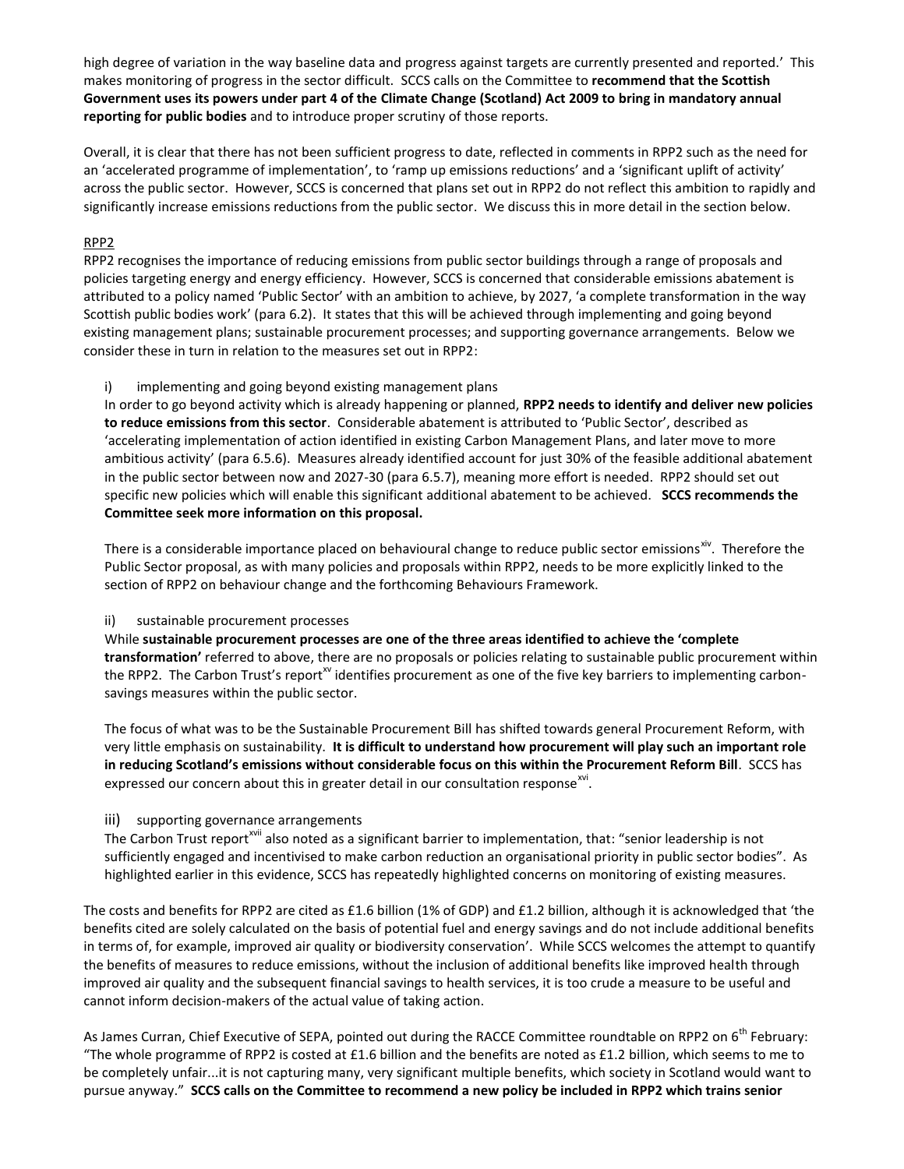high degree of variation in the way baseline data and progress against targets are currently presented and reported.' This makes monitoring of progress in the sector difficult. SCCS calls on the Committee to **recommend that the Scottish Government uses its powers under part 4 of the Climate Change (Scotland) Act 2009 to bring in mandatory annual reporting for public bodies** and to introduce proper scrutiny of those reports.

Overall, it is clear that there has not been sufficient progress to date, reflected in comments in RPP2 such as the need for an 'accelerated programme of implementation', to 'ramp up emissions reductions' and a 'significant uplift of activity' across the public sector. However, SCCS is concerned that plans set out in RPP2 do not reflect this ambition to rapidly and significantly increase emissions reductions from the public sector. We discuss this in more detail in the section below.

## RPP2

RPP2 recognises the importance of reducing emissions from public sector buildings through a range of proposals and policies targeting energy and energy efficiency. However, SCCS is concerned that considerable emissions abatement is attributed to a policy named 'Public Sector' with an ambition to achieve, by 2027, 'a complete transformation in the way Scottish public bodies work' (para 6.2). It states that this will be achieved through implementing and going beyond existing management plans; sustainable procurement processes; and supporting governance arrangements. Below we consider these in turn in relation to the measures set out in RPP2:

i) implementing and going beyond existing management plans

In order to go beyond activity which is already happening or planned, **RPP2 needs to identify and deliver new policies to reduce emissions from this sector**. Considerable abatement is attributed to 'Public Sector', described as 'accelerating implementation of action identified in existing Carbon Management Plans, and later move to more ambitious activity' (para 6.5.6). Measures already identified account for just 30% of the feasible additional abatement in the public sector between now and 2027-30 (para 6.5.7), meaning more effort is needed. RPP2 should set out specific new policies which will enable this significant additional abatement to be achieved. **SCCS recommends the Committee seek more information on this proposal.** 

There is a considerable importance placed on behavioural change to reduce public sector emissions<sup>xiv</sup>. Therefore the Public Sector proposal, as with many policies and proposals within RPP2, needs to be more explicitly linked to the section of RPP2 on behaviour change and the forthcoming Behaviours Framework.

## ii) sustainable procurement processes

While **sustainable procurement processes are one of the three areas identified to achieve the 'complete transformation'** referred to above, there are no proposals or policies relating to sustainable public procurement within the RPP2. The Carbon Trust's report<sup>xv</sup> identifies procurement as one of the five key barriers to implementing carbonsavings measures within the public sector.

The focus of what was to be the Sustainable Procurement Bill has shifted towards general Procurement Reform, with very little emphasis on sustainability. **It is difficult to understand how procurement will play such an important role in reducing Scotland's emissions without considerable focus on this within the Procurement Reform Bill**. SCCS has expressed our concern about this in greater detail in our consultation response $^{xvi}$ .

## iii) supporting governance arrangements

The Carbon Trust report<sup>xvii</sup> also noted as a significant barrier to implementation, that: "senior leadership is not sufficiently engaged and incentivised to make carbon reduction an organisational priority in public sector bodies". As highlighted earlier in this evidence, SCCS has repeatedly highlighted concerns on monitoring of existing measures.

The costs and benefits for RPP2 are cited as £1.6 billion (1% of GDP) and £1.2 billion, although it is acknowledged that 'the benefits cited are solely calculated on the basis of potential fuel and energy savings and do not include additional benefits in terms of, for example, improved air quality or biodiversity conservation'. While SCCS welcomes the attempt to quantify the benefits of measures to reduce emissions, without the inclusion of additional benefits like improved health through improved air quality and the subsequent financial savings to health services, it is too crude a measure to be useful and cannot inform decision-makers of the actual value of taking action.

As James Curran, Chief Executive of SEPA, pointed out during the RACCE Committee roundtable on RPP2 on 6<sup>th</sup> February: "The whole programme of RPP2 is costed at £1.6 billion and the benefits are noted as £1.2 billion, which seems to me to be completely unfair...it is not capturing many, very significant multiple benefits, which society in Scotland would want to pursue anyway." **SCCS calls on the Committee to recommend a new policy be included in RPP2 which trains senior**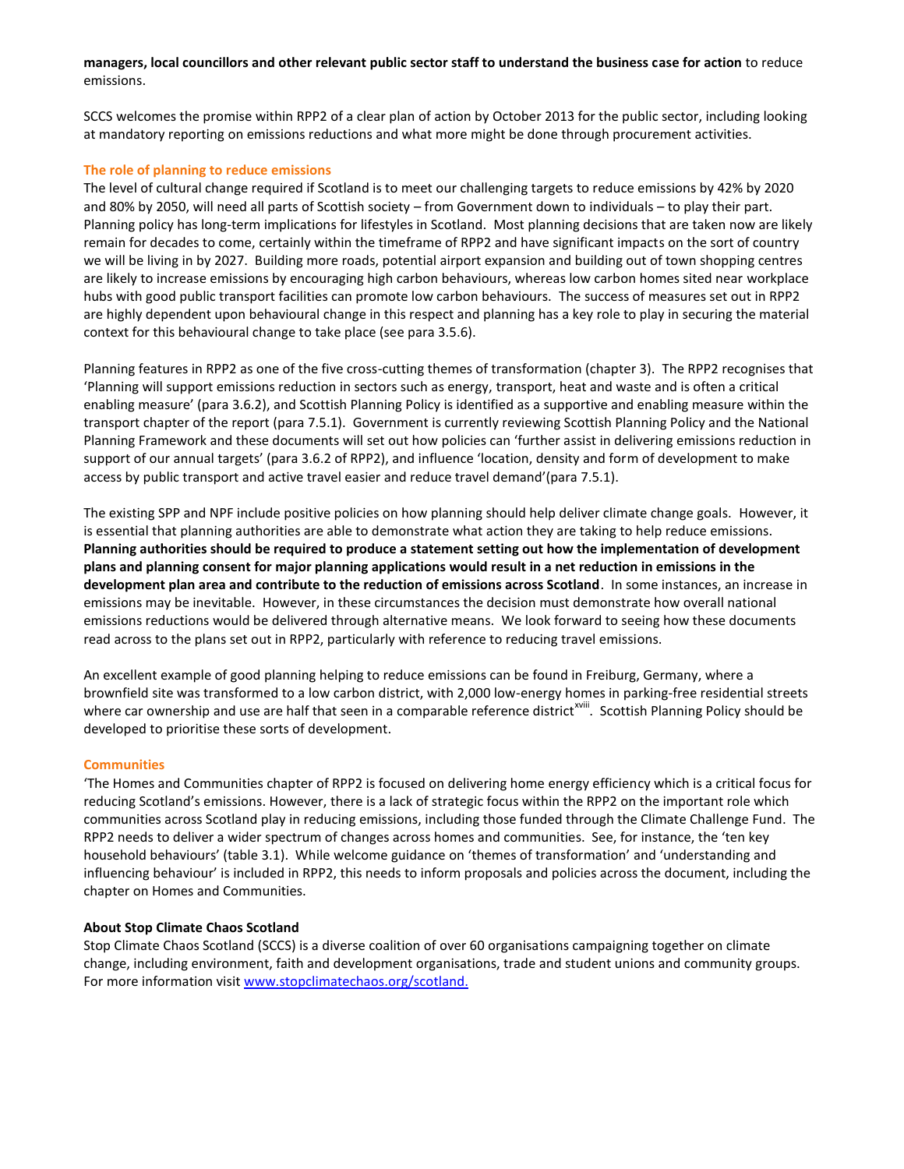## **managers, local councillors and other relevant public sector staff to understand the business case for action** to reduce emissions.

SCCS welcomes the promise within RPP2 of a clear plan of action by October 2013 for the public sector, including looking at mandatory reporting on emissions reductions and what more might be done through procurement activities.

## **The role of planning to reduce emissions**

The level of cultural change required if Scotland is to meet our challenging targets to reduce emissions by 42% by 2020 and 80% by 2050, will need all parts of Scottish society – from Government down to individuals – to play their part. Planning policy has long-term implications for lifestyles in Scotland. Most planning decisions that are taken now are likely remain for decades to come, certainly within the timeframe of RPP2 and have significant impacts on the sort of country we will be living in by 2027. Building more roads, potential airport expansion and building out of town shopping centres are likely to increase emissions by encouraging high carbon behaviours, whereas low carbon homes sited near workplace hubs with good public transport facilities can promote low carbon behaviours. The success of measures set out in RPP2 are highly dependent upon behavioural change in this respect and planning has a key role to play in securing the material context for this behavioural change to take place (see para 3.5.6).

Planning features in RPP2 as one of the five cross-cutting themes of transformation (chapter 3). The RPP2 recognises that 'Planning will support emissions reduction in sectors such as energy, transport, heat and waste and is often a critical enabling measure' (para 3.6.2), and Scottish Planning Policy is identified as a supportive and enabling measure within the transport chapter of the report (para 7.5.1). Government is currently reviewing Scottish Planning Policy and the National Planning Framework and these documents will set out how policies can 'further assist in delivering emissions reduction in support of our annual targets' (para 3.6.2 of RPP2), and influence 'location, density and form of development to make access by public transport and active travel easier and reduce travel demand'(para 7.5.1).

The existing SPP and NPF include positive policies on how planning should help deliver climate change goals. However, it is essential that planning authorities are able to demonstrate what action they are taking to help reduce emissions. **Planning authorities should be required to produce a statement setting out how the implementation of development plans and planning consent for major planning applications would result in a net reduction in emissions in the development plan area and contribute to the reduction of emissions across Scotland**. In some instances, an increase in emissions may be inevitable. However, in these circumstances the decision must demonstrate how overall national emissions reductions would be delivered through alternative means. We look forward to seeing how these documents read across to the plans set out in RPP2, particularly with reference to reducing travel emissions.

An excellent example of good planning helping to reduce emissions can be found in Freiburg, Germany, where a brownfield site was transformed to a low carbon district, with 2,000 low-energy homes in parking-free residential streets where car ownership and use are half that seen in a comparable reference district<sup>xviii</sup>. Scottish Planning Policy should be developed to prioritise these sorts of development.

## **Communities**

'The Homes and Communities chapter of RPP2 is focused on delivering home energy efficiency which is a critical focus for reducing Scotland's emissions. However, there is a lack of strategic focus within the RPP2 on the important role which communities across Scotland play in reducing emissions, including those funded through the Climate Challenge Fund. The RPP2 needs to deliver a wider spectrum of changes across homes and communities. See, for instance, the 'ten key household behaviours' (table 3.1). While welcome guidance on 'themes of transformation' and 'understanding and influencing behaviour' is included in RPP2, this needs to inform proposals and policies across the document, including the chapter on Homes and Communities.

## **About Stop Climate Chaos Scotland**

Stop Climate Chaos Scotland (SCCS) is a diverse coalition of over 60 organisations campaigning together on climate change, including environment, faith and development organisations, trade and student unions and community groups. For more information visit [www.stopclimatechaos.org/scotland.](http://www.stopclimatechaos.org/scotland)